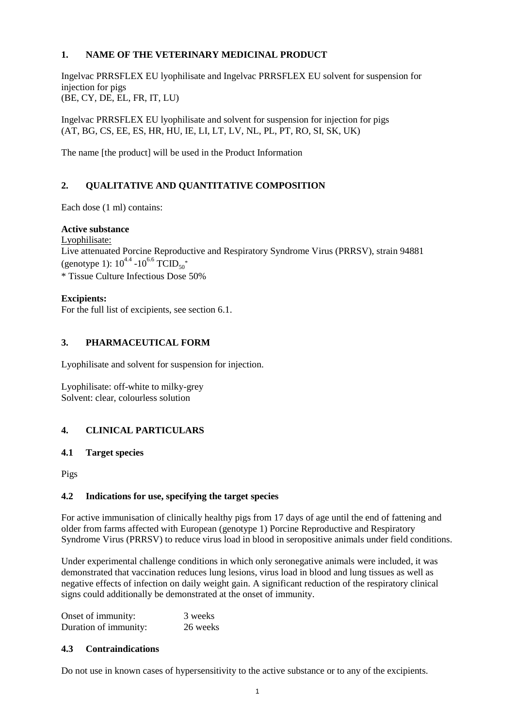# **1. NAME OF THE VETERINARY MEDICINAL PRODUCT**

Ingelvac PRRSFLEX EU lyophilisate and Ingelvac PRRSFLEX EU solvent for suspension for injection for pigs (BE, CY, DE, EL, FR, IT, LU)

Ingelvac PRRSFLEX EU lyophilisate and solvent for suspension for injection for pigs (AT, BG, CS, EE, ES, HR, HU, IE, LI, LT, LV, NL, PL, PT, RO, SI, SK, UK)

The name [the product] will be used in the Product Information

# **2. QUALITATIVE AND QUANTITATIVE COMPOSITION**

Each dose  $(1 \text{ ml})$  contains:

### **Active substance**

Lyophilisate:

Live attenuated Porcine Reproductive and Respiratory Syndrome Virus (PRRSV), strain 94881 (genotype 1):  $10^{4.4}$  - $10^{6.6}$  TCID<sub>50</sub><sup>\*</sup> \* Tissue Culture Infectious Dose 50%

### **Excipients:**

For the full list of excipients, see section 6.1.

# **3. PHARMACEUTICAL FORM**

Lyophilisate and solvent for suspension for injection.

Lyophilisate: off-white to milky-grey Solvent: clear, colourless solution

# **4. CLINICAL PARTICULARS**

#### **4.1 Target species**

Pigs

# **4.2 Indications for use, specifying the target species**

For active immunisation of clinically healthy pigs from 17 days of age until the end of fattening and older from farms affected with European (genotype 1) Porcine Reproductive and Respiratory Syndrome Virus (PRRSV) to reduce virus load in blood in seropositive animals under field conditions.

Under experimental challenge conditions in which only seronegative animals were included, it was demonstrated that vaccination reduces lung lesions, virus load in blood and lung tissues as well as negative effects of infection on daily weight gain. A significant reduction of the respiratory clinical signs could additionally be demonstrated at the onset of immunity.

Onset of immunity: 3 weeks Duration of immunity: 26 weeks

# **4.3 Contraindications**

Do not use in known cases of hypersensitivity to the active substance or to any of the excipients.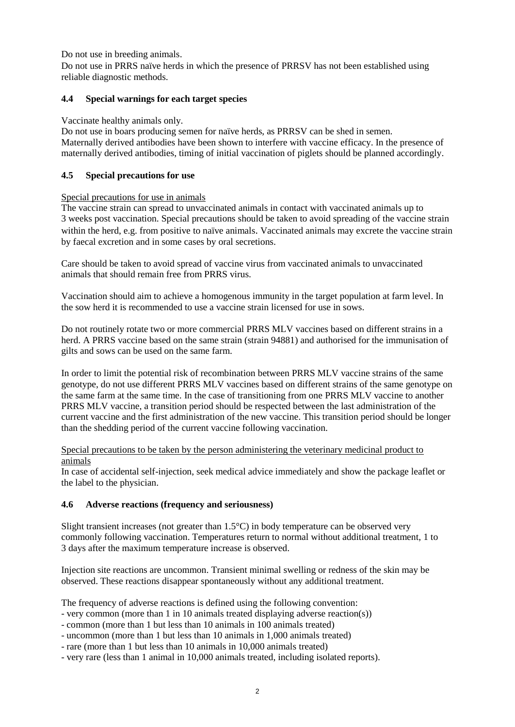Do not use in breeding animals.

Do not use in PRRS naïve herds in which the presence of PRRSV has not been established using reliable diagnostic methods.

# **4.4 Special warnings for each target species**

#### Vaccinate healthy animals only.

Do not use in boars producing semen for naïve herds, as PRRSV can be shed in semen. Maternally derived antibodies have been shown to interfere with vaccine efficacy. In the presence of maternally derived antibodies, timing of initial vaccination of piglets should be planned accordingly.

# **4.5 Special precautions for use**

### Special precautions for use in animals

The vaccine strain can spread to unvaccinated animals in contact with vaccinated animals up to 3 weeks post vaccination. Special precautions should be taken to avoid spreading of the vaccine strain within the herd, e.g. from positive to naïve animals. Vaccinated animals may excrete the vaccine strain by faecal excretion and in some cases by oral secretions.

Care should be taken to avoid spread of vaccine virus from vaccinated animals to unvaccinated animals that should remain free from PRRS virus.

Vaccination should aim to achieve a homogenous immunity in the target population at farm level. In the sow herd it is recommended to use a vaccine strain licensed for use in sows.

Do not routinely rotate two or more commercial PRRS MLV vaccines based on different strains in a herd. A PRRS vaccine based on the same strain (strain 94881) and authorised for the immunisation of gilts and sows can be used on the same farm.

In order to limit the potential risk of recombination between PRRS MLV vaccine strains of the same genotype, do not use different PRRS MLV vaccines based on different strains of the same genotype on the same farm at the same time. In the case of transitioning from one PRRS MLV vaccine to another PRRS MLV vaccine, a transition period should be respected between the last administration of the current vaccine and the first administration of the new vaccine. This transition period should be longer than the shedding period of the current vaccine following vaccination.

#### Special precautions to be taken by the person administering the veterinary medicinal product to animals

In case of accidental self-injection, seek medical advice immediately and show the package leaflet or the label to the physician.

#### **4.6 Adverse reactions (frequency and seriousness)**

Slight transient increases (not greater than 1.5°C) in body temperature can be observed very commonly following vaccination. Temperatures return to normal without additional treatment, 1 to 3 days after the maximum temperature increase is observed.

Injection site reactions are uncommon. Transient minimal swelling or redness of the skin may be observed. These reactions disappear spontaneously without any additional treatment.

The frequency of adverse reactions is defined using the following convention:

- very common (more than 1 in 10 animals treated displaying adverse reaction(s))
- common (more than 1 but less than 10 animals in 100 animals treated)
- uncommon (more than 1 but less than 10 animals in 1,000 animals treated)
- rare (more than 1 but less than 10 animals in 10,000 animals treated)
- very rare (less than 1 animal in 10,000 animals treated, including isolated reports).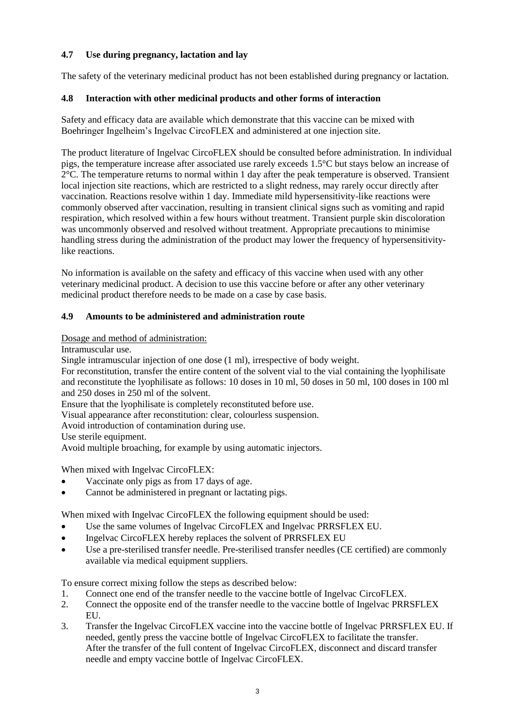# **4.7 Use during pregnancy, lactation and lay**

The safety of the veterinary medicinal product has not been established during pregnancy or lactation.

# **4.8 Interaction with other medicinal products and other forms of interaction**

Safety and efficacy data are available which demonstrate that this vaccine can be mixed with Boehringer Ingelheim's Ingelvac CircoFLEX and administered at one injection site.

The product literature of Ingelvac CircoFLEX should be consulted before administration. In individual pigs, the temperature increase after associated use rarely exceeds 1.5°C but stays below an increase of 2°C. The temperature returns to normal within 1 day after the peak temperature is observed. Transient local injection site reactions, which are restricted to a slight redness, may rarely occur directly after vaccination. Reactions resolve within 1 day. Immediate mild hypersensitivity-like reactions were commonly observed after vaccination, resulting in transient clinical signs such as vomiting and rapid respiration, which resolved within a few hours without treatment. Transient purple skin discoloration was uncommonly observed and resolved without treatment. Appropriate precautions to minimise handling stress during the administration of the product may lower the frequency of hypersensitivitylike reactions.

No information is available on the safety and efficacy of this vaccine when used with any other veterinary medicinal product. A decision to use this vaccine before or after any other veterinary medicinal product therefore needs to be made on a case by case basis.

### **4.9 Amounts to be administered and administration route**

Dosage and method of administration:

Intramuscular use.

Single intramuscular injection of one dose (1 ml), irrespective of body weight.

For reconstitution, transfer the entire content of the solvent vial to the vial containing the lyophilisate and reconstitute the lyophilisate as follows: 10 doses in 10 ml, 50 doses in 50 ml, 100 doses in 100 ml and 250 doses in 250 ml of the solvent.

Ensure that the lyophilisate is completely reconstituted before use.

Visual appearance after reconstitution: clear, colourless suspension.

Avoid introduction of contamination during use.

Use sterile equipment.

Avoid multiple broaching, for example by using automatic injectors.

When mixed with Ingelvac CircoFLEX:

- Vaccinate only pigs as from 17 days of age.
- Cannot be administered in pregnant or lactating pigs.

When mixed with Ingelvac CircoFLEX the following equipment should be used:

- Use the same volumes of Ingelvac CircoFLEX and Ingelvac PRRSFLEX EU.
- Ingelvac CircoFLEX hereby replaces the solvent of PRRSFLEX EU
- Use a pre-sterilised transfer needle. Pre-sterilised transfer needles (CE certified) are commonly available via medical equipment suppliers.

To ensure correct mixing follow the steps as described below:

- 1. Connect one end of the transfer needle to the vaccine bottle of Ingelvac CircoFLEX.
- 2. Connect the opposite end of the transfer needle to the vaccine bottle of Ingelvac PRRSFLEX EU.
- 3. Transfer the Ingelvac CircoFLEX vaccine into the vaccine bottle of Ingelvac PRRSFLEX EU. If needed, gently press the vaccine bottle of Ingelvac CircoFLEX to facilitate the transfer. After the transfer of the full content of Ingelvac CircoFLEX, disconnect and discard transfer needle and empty vaccine bottle of Ingelvac CircoFLEX.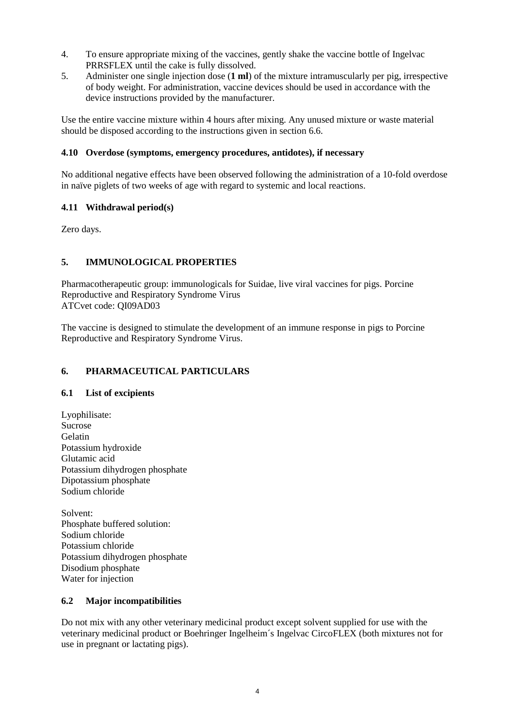- 4. To ensure appropriate mixing of the vaccines, gently shake the vaccine bottle of Ingelvac PRRSFLEX until the cake is fully dissolved.
- 5. Administer one single injection dose (**1 ml**) of the mixture intramuscularly per pig, irrespective of body weight. For administration, vaccine devices should be used in accordance with the device instructions provided by the manufacturer.

Use the entire vaccine mixture within 4 hours after mixing. Any unused mixture or waste material should be disposed according to the instructions given in section 6.6.

# **4.10 Overdose (symptoms, emergency procedures, antidotes), if necessary**

No additional negative effects have been observed following the administration of a 10-fold overdose in naïve piglets of two weeks of age with regard to systemic and local reactions.

# **4.11 Withdrawal period(s)**

Zero days.

# **5. IMMUNOLOGICAL PROPERTIES**

Pharmacotherapeutic group: immunologicals for Suidae, live viral vaccines for pigs. Porcine Reproductive and Respiratory Syndrome Virus ATCvet code: QI09AD03

The vaccine is designed to stimulate the development of an immune response in pigs to Porcine Reproductive and Respiratory Syndrome Virus.

# **6. PHARMACEUTICAL PARTICULARS**

# **6.1 List of excipients**

Lyophilisate: Sucrose Gelatin Potassium hydroxide Glutamic acid Potassium dihydrogen phosphate Dipotassium phosphate Sodium chloride

Solvent: Phosphate buffered solution: Sodium chloride Potassium chloride Potassium dihydrogen phosphate Disodium phosphate Water for injection

# **6.2 Major incompatibilities**

Do not mix with any other veterinary medicinal product except solvent supplied for use with the veterinary medicinal product or Boehringer Ingelheim´s Ingelvac CircoFLEX (both mixtures not for use in pregnant or lactating pigs).